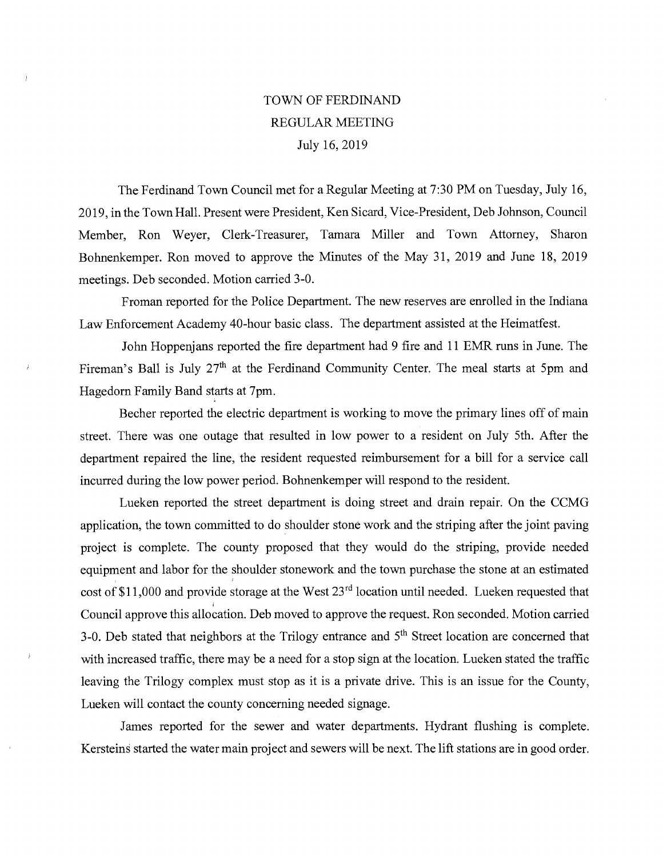## TOWN OF FERDINAND REGULAR MEETING July 16, 2019

The Ferdinand Town Council met for a Regular Meeting at 7:30 PM on Tuesday, July 16, 2019, in the Town Hall. Present were President, Ken Sicard, Vice-President, Deb Johnson, Council Member, Ron Weyer, Clerk-Treasurer, Tamara Miller and Town Attorney, Sharon Bohnenkemper. Ron moved to approve the Minutes of the May 31, 2019 and June 18, 2019 meetings. Deb seconded. Motion carried 3-0.

Froman reported for the Police Department. The new reserves are enrolled in the Indiana Law Enforcement Academy 40-hour basic class. The department assisted at the Heimatfest.

John Hoppenjans reported the fire department had 9 fire and 11 EMR runs in June. The Fireman's Ball is July 27<sup>th</sup> at the Ferdinand Community Center. The meal starts at 5pm and Hagedorn Family Band starts at 7pm.

Becher reported the electric department is working to move the primary lines off of main street. There was one outage that resulted in low power to a resident on July 5th. After the department repaired the line, the resident requested reimbursement for a bill for a service call incurred during the low power period. Bohnenkemper will respond to the resident.

Lueken reported the street department is doing street and drain repair. On the CCMG application, the town committed to do shoulder stone work and the striping after the joint paving project is complete. The county proposed that they would do the striping, provide needed equipment and labor for the shoulder stonework and the town purchase the stone at an estimated cost of \$11,000 and provide storage at the West  $23<sup>rd</sup>$  location until needed. Lueken requested that Council approve this allocation. Deb moved to approve the request. Ron seconded. Motion carried 3-0. Deb stated that neighbors at the Trilogy entrance and  $5<sup>th</sup>$  Street location are concerned that with increased traffic, there may be a need for a stop sign at the location. Lueken stated the traffic leaving the Trilogy complex must stop as it is a private drive. This is an issue for the County, Lueken will contact the county concerning needed signage.

James reported for the sewer and water departments. Hydrant flushing is complete. Kersteins started the water main project and sewers will be next. The lift stations are in good order.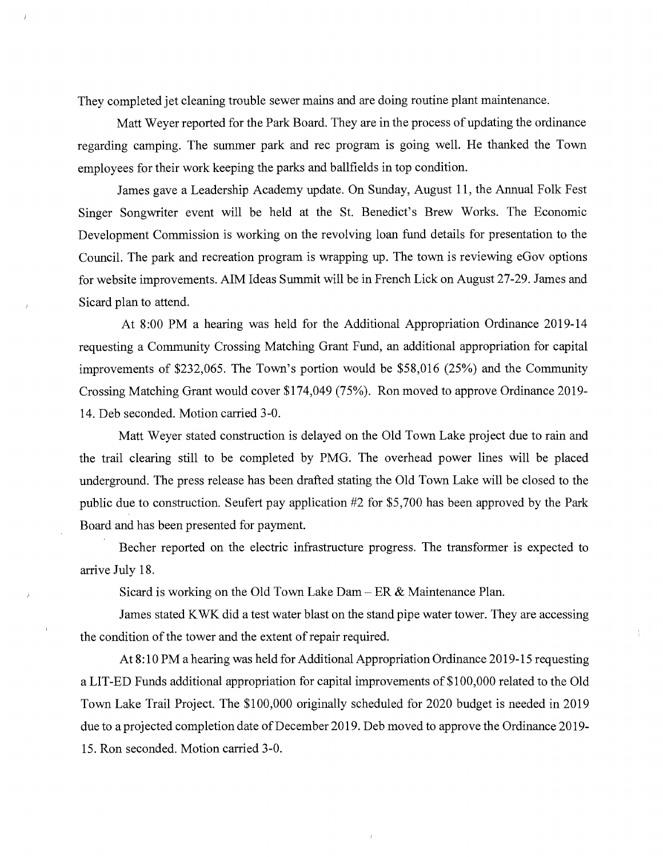They completed jet cleaning trouble sewer mains and are doing routine plant maintenance.

Matt Weyer reported for the Park Board. They are in the process of updating the ordinance regarding camping. The summer park and rec program is going well. He thanked the Town employees for their work keeping the parks and ballfields in top condition.

James gave a Leadership Academy update. On Sunday, August 11, the Annual Folk Fest Singer Songwriter event will be held at the St. Benedict's Brew Works. The Economic Development Commission is working on the revolving loan fund details for presentation to the Council. The park and recreation program is wrapping up. The town is reviewing eGov options for website improvements. AIM Ideas Summit will be in French Lick on August 27-29. James and Sicard plan to attend.

At 8:00 PM a hearing was held for the Additional Appropriation Ordinance 2019-14 requesting a Community Crossing Matching Grant Fund, an additional appropriation for capital improvements of \$232,065. The Town's portion would be \$58,016 (25%) and the Community Crossing Matching Grant would cover \$174,049 (75%). Ron moved to approve Ordinance 2019- 14. Deb seconded. Motion carried 3-0.

Matt Weyer stated construction is delayed on the Old Town Lake project due to rain and the trail clearing still to be completed by PMG. The overhead power lines will be placed underground. The press release has been drafted stating the Old Town Lake will be closed to the public due to construction. Seufert pay application #2 for \$5,700 has been approved by the Park Board and has been presented for payment.

Becher reported on the electric infrastructure progress. The transformer is expected to arrive July 18.

Sicard is working on the Old Town Lake Dam — ER & Maintenance Plan.

James stated KWK did a test water blast on the stand pipe water tower. They are accessing the condition of the tower and the extent of repair required.

At 8:10 PM a hearing was held for Additional Appropriation Ordinance 2019-15 requesting a LIT-ED Funds additional appropriation for capital improvements of \$100,000 related to the Old Town Lake Trail Project. The \$100,000 originally scheduled for 2020 budget is needed in 2019 due to a projected completion date of December 2019. Deb moved to approve the Ordinance 2019-15. Ron seconded. Motion carried 3-0.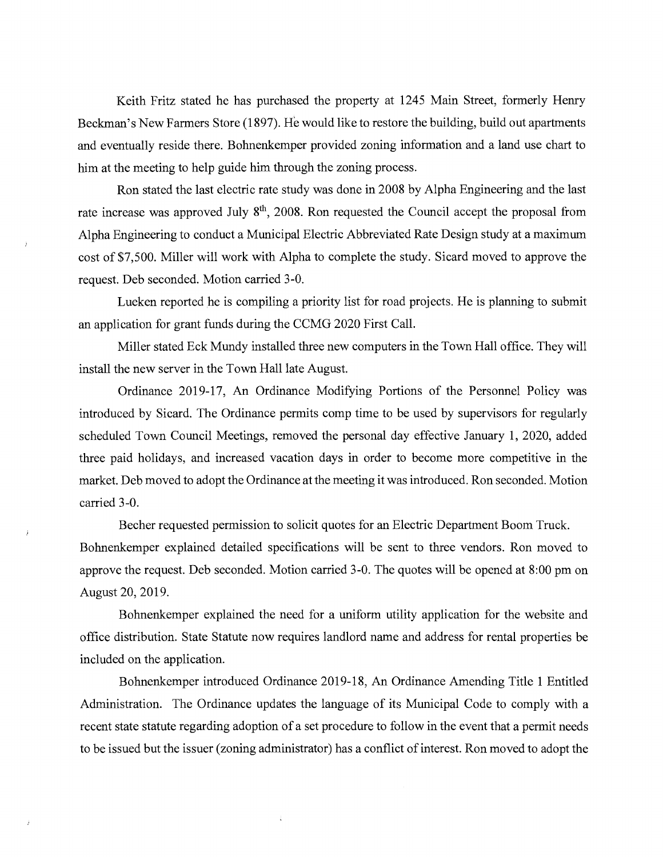Keith Fritz stated he has purchased the property at 1245 Main Street, formerly Henry Beckman's New Farmers Store (1897). He would like to restore the building, build out apartments and eventually reside there. Bohnenkemper provided zoning information and a land use chart to him at the meeting to help guide him through the zoning process.

Ron stated the last electric rate study was done in 2008 by Alpha Engineering and the last rate increase was approved July  $8<sup>th</sup>$ , 2008. Ron requested the Council accept the proposal from Alpha Engineering to conduct a Municipal Electric Abbreviated Rate Design study at a maximum cost of \$7,500. Miller will work with Alpha to complete the study. Sicard moved to approve the request. Deb seconded. Motion carried 3-0.

Lueken reported he is compiling a priority list for road projects. He is planning to submit an application for grant funds during the CCMG 2020 First Call.

Miller stated Eck Mundy installed three new computers in the Town Hall office. They will install the new server in the Town Hall late August.

Ordinance 2019-17, An Ordinance Modifying Portions of the Personnel Policy was introduced by Sicard. The Ordinance permits comp time to be used by supervisors for regularly scheduled Town Council Meetings, removed the personal day effective January 1, 2020, added three paid holidays, and increased vacation days in order to become more competitive in the market. Deb moved to adopt the Ordinance at the meeting it was introduced. Ron seconded. Motion carried 3-0.

Becher requested permission to solicit quotes for an Electric Department Boom Truck. Bohnenkemper explained detailed specifications will be sent to three vendors. Ron moved to approve the request. Deb seconded. Motion carried 3-0. The quotes will be opened at 8:00 pm on August 20, 2019.

Bohnenkemper explained the need for a uniform utility application for the website and office distribution. State Statute now requires landlord name and address for rental properties be included on the application.

Bohnenkemper introduced Ordinance 2019-18, An Ordinance Amending Title 1 Entitled Administration. The Ordinance updates the language of its Municipal Code to comply with a recent state statute regarding adoption of a set procedure to follow in the event that a permit needs to be issued but the issuer (zoning administrator) has a conflict of interest. Ron moved to adopt the